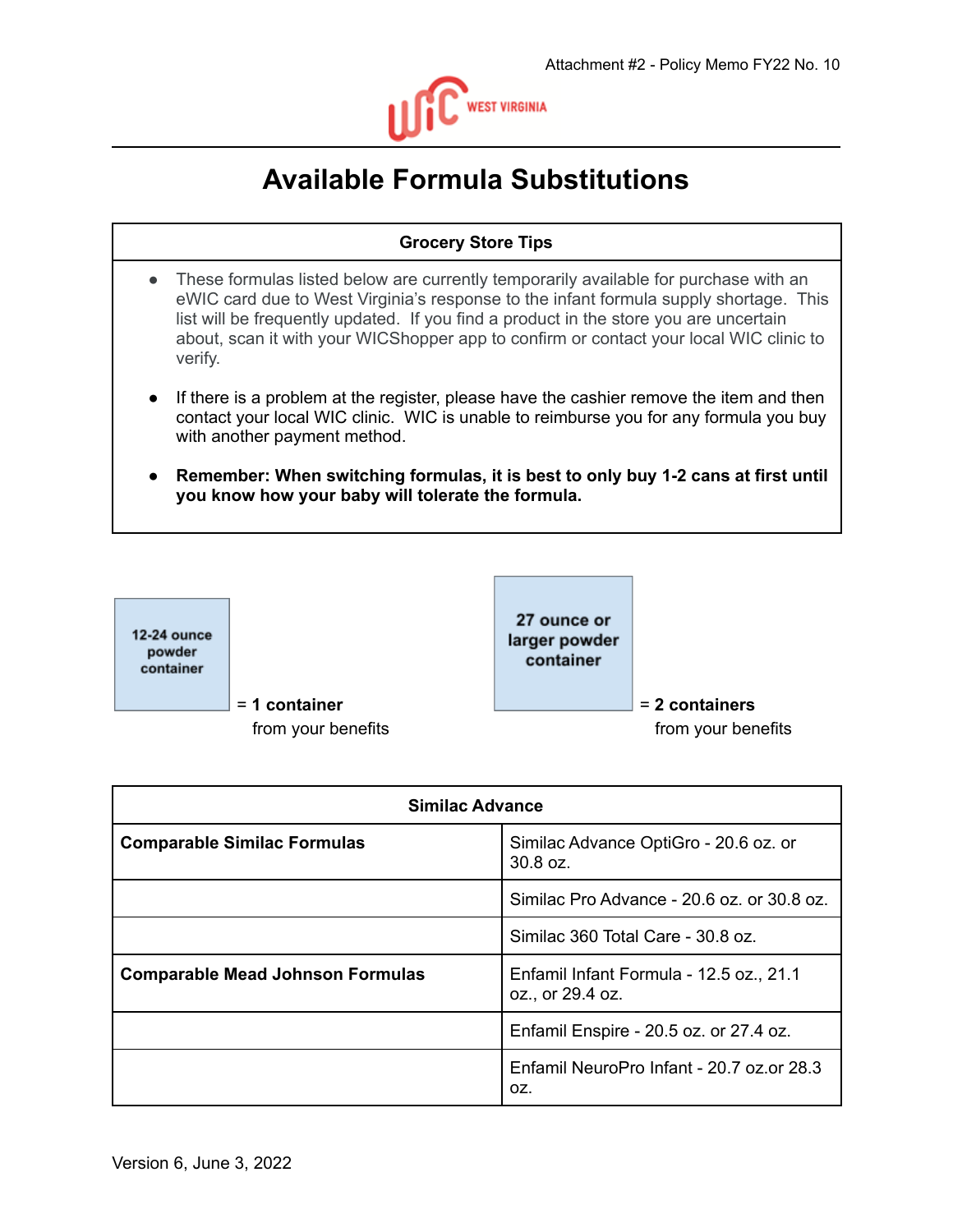

## **Available Formula Substitutions**

## **Grocery Store Tips**

- These formulas listed below are currently temporarily available for purchase with an eWIC card due to West Virginia's response to the infant formula supply shortage. This list will be frequently updated. If you find a product in the store you are uncertain about, scan it with your WICShopper app to confirm or contact your local WIC clinic to verify.
- If there is a problem at the register, please have the cashier remove the item and then contact your local WIC clinic. WIC is unable to reimburse you for any formula you buy with another payment method.
- **● Remember: When switching formulas, it is best to only buy 1-2 cans at first until you know how your baby will tolerate the formula.**



| <b>Similac Advance</b>                  |                                                             |
|-----------------------------------------|-------------------------------------------------------------|
| <b>Comparable Similac Formulas</b>      | Similac Advance OptiGro - 20.6 oz. or<br>30.8 oz.           |
|                                         | Similac Pro Advance - 20.6 oz. or 30.8 oz.                  |
|                                         | Similac 360 Total Care - 30.8 oz.                           |
| <b>Comparable Mead Johnson Formulas</b> | Enfamil Infant Formula - 12.5 oz., 21.1<br>oz., or 29.4 oz. |
|                                         | Enfamil Enspire - 20.5 oz. or 27.4 oz.                      |
|                                         | Enfamil NeuroPro Infant - 20.7 oz.or 28.3<br>OZ.            |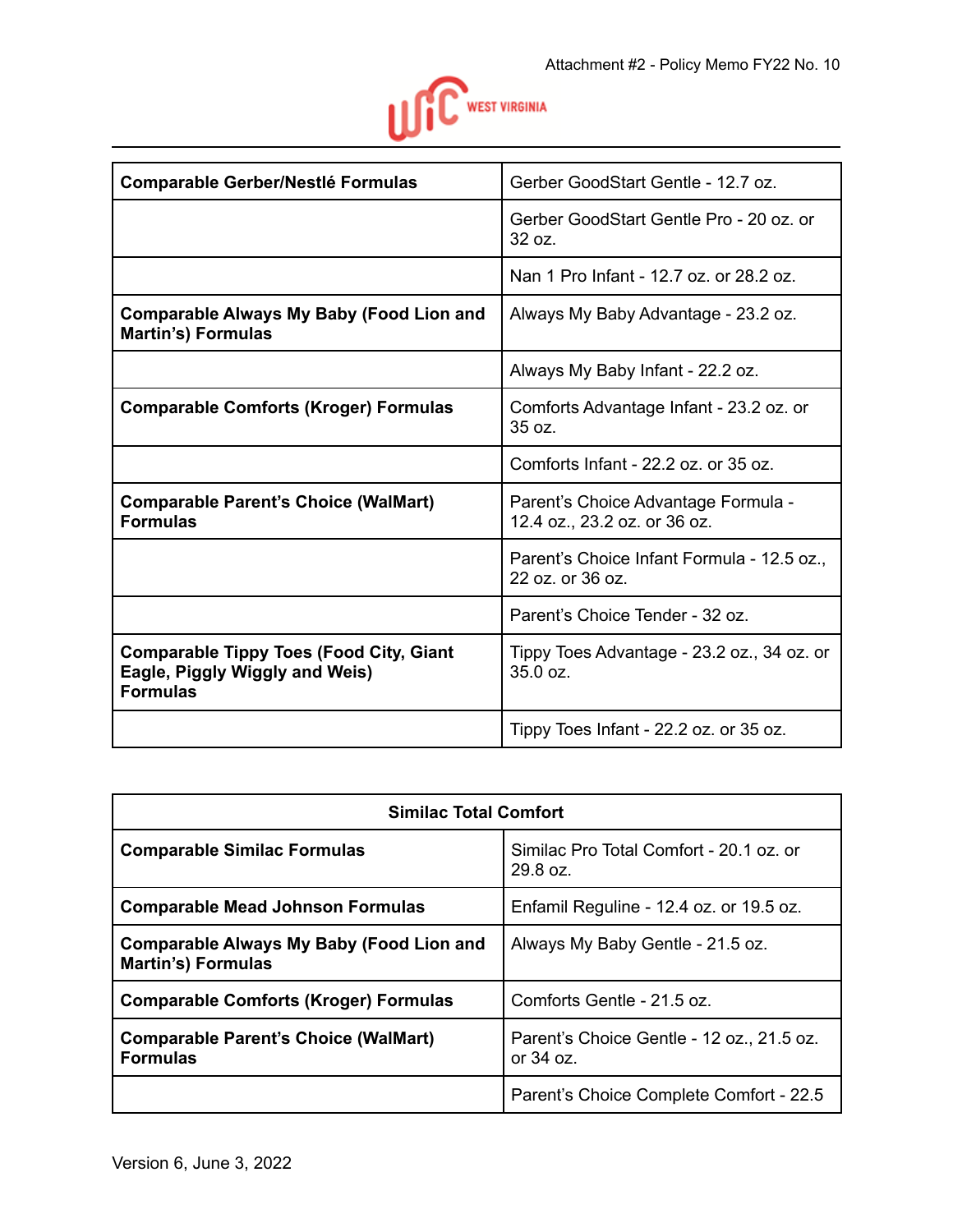

| <b>Comparable Gerber/Nestlé Formulas</b>                                                            | Gerber GoodStart Gentle - 12.7 oz.                                  |
|-----------------------------------------------------------------------------------------------------|---------------------------------------------------------------------|
|                                                                                                     | Gerber GoodStart Gentle Pro - 20 oz. or<br>32 oz.                   |
|                                                                                                     | Nan 1 Pro Infant - 12.7 oz. or 28.2 oz.                             |
| <b>Comparable Always My Baby (Food Lion and</b><br><b>Martin's) Formulas</b>                        | Always My Baby Advantage - 23.2 oz.                                 |
|                                                                                                     | Always My Baby Infant - 22.2 oz.                                    |
| <b>Comparable Comforts (Kroger) Formulas</b>                                                        | Comforts Advantage Infant - 23.2 oz. or<br>35 oz.                   |
|                                                                                                     | Comforts Infant - 22.2 oz. or 35 oz.                                |
| <b>Comparable Parent's Choice (WalMart)</b><br><b>Formulas</b>                                      | Parent's Choice Advantage Formula -<br>12.4 oz., 23.2 oz. or 36 oz. |
|                                                                                                     | Parent's Choice Infant Formula - 12.5 oz.,<br>22 oz. or 36 oz.      |
|                                                                                                     | Parent's Choice Tender - 32 oz.                                     |
| <b>Comparable Tippy Toes (Food City, Giant</b><br>Eagle, Piggly Wiggly and Weis)<br><b>Formulas</b> | Tippy Toes Advantage - 23.2 oz., 34 oz. or<br>35.0 oz.              |
|                                                                                                     | Tippy Toes Infant - 22.2 oz. or 35 oz.                              |

| <b>Similac Total Comfort</b>                                                 |                                                          |
|------------------------------------------------------------------------------|----------------------------------------------------------|
| <b>Comparable Similac Formulas</b>                                           | Similac Pro Total Comfort - 20.1 oz. or<br>29.8 oz.      |
| <b>Comparable Mead Johnson Formulas</b>                                      | Enfamil Reguline - 12.4 oz. or 19.5 oz.                  |
| <b>Comparable Always My Baby (Food Lion and</b><br><b>Martin's) Formulas</b> | Always My Baby Gentle - 21.5 oz.                         |
| <b>Comparable Comforts (Kroger) Formulas</b>                                 | Comforts Gentle - 21.5 oz.                               |
| <b>Comparable Parent's Choice (WalMart)</b><br><b>Formulas</b>               | Parent's Choice Gentle - 12 oz., 21.5 oz.<br>or $34$ oz. |
|                                                                              | Parent's Choice Complete Comfort - 22.5                  |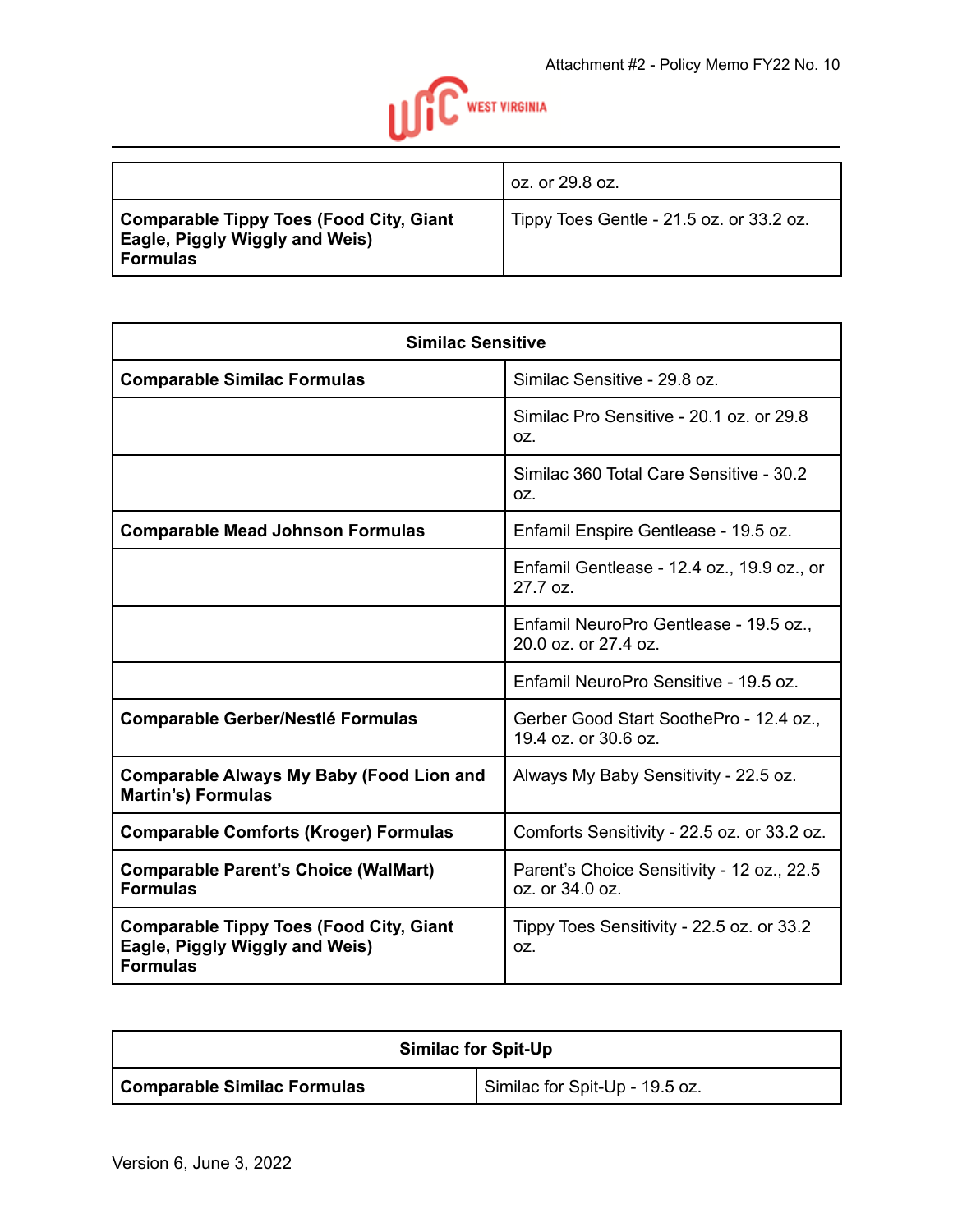

|                                                                                                     | oz. or 29.8 oz.                          |
|-----------------------------------------------------------------------------------------------------|------------------------------------------|
| <b>Comparable Tippy Toes (Food City, Giant</b><br>Eagle, Piggly Wiggly and Weis)<br><b>Formulas</b> | Tippy Toes Gentle - 21.5 oz. or 33.2 oz. |

| <b>Similac Sensitive</b>                                                                            |                                                                 |
|-----------------------------------------------------------------------------------------------------|-----------------------------------------------------------------|
| <b>Comparable Similac Formulas</b>                                                                  | Similac Sensitive - 29.8 oz.                                    |
|                                                                                                     | Similac Pro Sensitive - 20.1 oz. or 29.8<br>OZ.                 |
|                                                                                                     | Similac 360 Total Care Sensitive - 30.2<br>OZ.                  |
| <b>Comparable Mead Johnson Formulas</b>                                                             | Enfamil Enspire Gentlease - 19.5 oz.                            |
|                                                                                                     | Enfamil Gentlease - 12.4 oz., 19.9 oz., or<br>27.7 oz.          |
|                                                                                                     | Enfamil NeuroPro Gentlease - 19.5 oz.,<br>20.0 oz. or 27.4 oz.  |
|                                                                                                     | Enfamil NeuroPro Sensitive - 19.5 oz.                           |
| <b>Comparable Gerber/Nestlé Formulas</b>                                                            | Gerber Good Start SoothePro - 12.4 oz.,<br>19.4 oz. or 30.6 oz. |
| <b>Comparable Always My Baby (Food Lion and</b><br><b>Martin's) Formulas</b>                        | Always My Baby Sensitivity - 22.5 oz.                           |
| <b>Comparable Comforts (Kroger) Formulas</b>                                                        | Comforts Sensitivity - 22.5 oz. or 33.2 oz.                     |
| <b>Comparable Parent's Choice (WalMart)</b><br><b>Formulas</b>                                      | Parent's Choice Sensitivity - 12 oz., 22.5<br>oz. or 34.0 oz.   |
| <b>Comparable Tippy Toes (Food City, Giant</b><br>Eagle, Piggly Wiggly and Weis)<br><b>Formulas</b> | Tippy Toes Sensitivity - 22.5 oz. or 33.2<br>OZ.                |

| <b>Similac for Spit-Up</b>         |                                |
|------------------------------------|--------------------------------|
| <b>Comparable Similac Formulas</b> | Similac for Spit-Up - 19.5 oz. |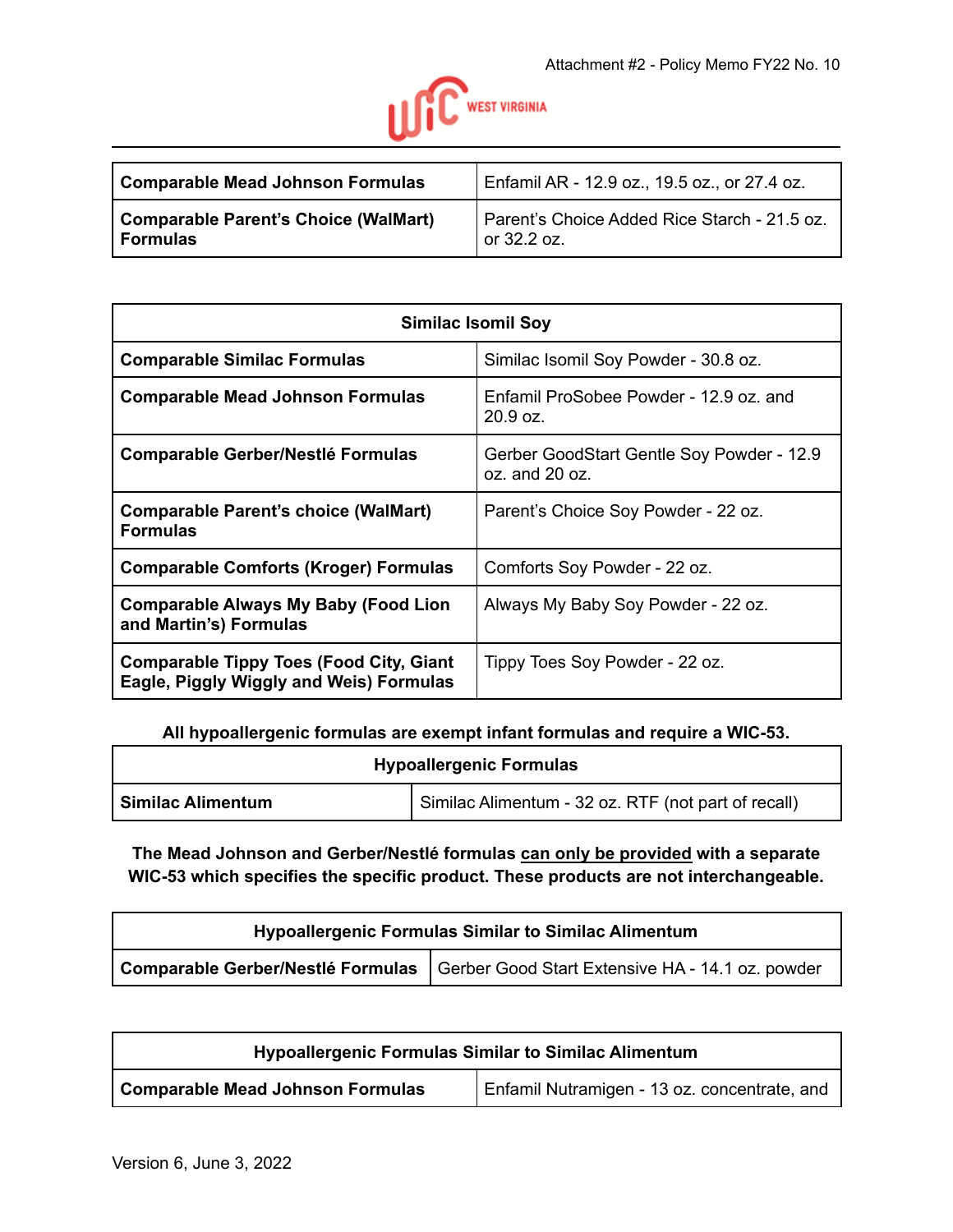

| Comparable Mead Johnson Formulas     | Enfamil AR - 12.9 oz., 19.5 oz., or 27.4 oz. |
|--------------------------------------|----------------------------------------------|
| Comparable Parent's Choice (WalMart) | Parent's Choice Added Rice Starch - 21.5 oz. |
| <b>Formulas</b>                      | or 32.2 oz.                                  |

| <b>Similac Isomil Soy</b>                                                                 |                                                                 |
|-------------------------------------------------------------------------------------------|-----------------------------------------------------------------|
| <b>Comparable Similac Formulas</b>                                                        | Similac Isomil Soy Powder - 30.8 oz.                            |
| <b>Comparable Mead Johnson Formulas</b>                                                   | Enfamil ProSobee Powder - 12.9 oz. and<br>20.9 oz.              |
| <b>Comparable Gerber/Nestlé Formulas</b>                                                  | Gerber GoodStart Gentle Soy Powder - 12.9<br>$oz.$ and $20 oz.$ |
| <b>Comparable Parent's choice (WalMart)</b><br><b>Formulas</b>                            | Parent's Choice Soy Powder - 22 oz.                             |
| <b>Comparable Comforts (Kroger) Formulas</b>                                              | Comforts Soy Powder - 22 oz.                                    |
| <b>Comparable Always My Baby (Food Lion</b><br>and Martin's) Formulas                     | Always My Baby Soy Powder - 22 oz.                              |
| <b>Comparable Tippy Toes (Food City, Giant</b><br>Eagle, Piggly Wiggly and Weis) Formulas | Tippy Toes Soy Powder - 22 oz.                                  |

**All hypoallergenic formulas are exempt infant formulas and require a WIC-53.**

| <b>Hypoallergenic Formulas</b> |                                                     |
|--------------------------------|-----------------------------------------------------|
| Similac Alimentum              | Similac Alimentum - 32 oz. RTF (not part of recall) |

## **The Mead Johnson and Gerber/Nestlé formulas can only be provided with a separate WIC-53 which specifies the specific product. These products are not interchangeable.**

| <b>Hypoallergenic Formulas Similar to Similac Alimentum</b> |                                                                                      |
|-------------------------------------------------------------|--------------------------------------------------------------------------------------|
|                                                             | Comparable Gerber/Nestlé Formulas   Gerber Good Start Extensive HA - 14.1 oz. powder |

| <b>Hypoallergenic Formulas Similar to Similac Alimentum</b> |                                              |
|-------------------------------------------------------------|----------------------------------------------|
| <b>Comparable Mead Johnson Formulas</b>                     | Enfamil Nutramigen - 13 oz. concentrate, and |